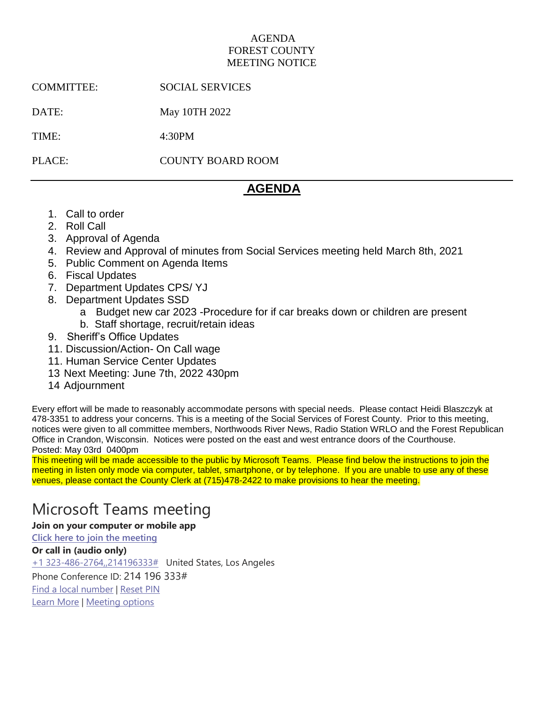### AGENDA FOREST COUNTY MEETING NOTICE

COMMITTEE: SOCIAL SERVICES

DATE: May 10TH 2022

TIME: 4:30PM

PLACE: COUNTY BOARD ROOM

## **AGENDA**

- 1. Call to order
- 2. Roll Call
- 3. Approval of Agenda
- 4. Review and Approval of minutes from Social Services meeting held March 8th, 2021
- 5. Public Comment on Agenda Items
- 6. Fiscal Updates
- 7. Department Updates CPS/ YJ
- 8. Department Updates SSD
	- a Budget new car 2023 -Procedure for if car breaks down or children are present b. Staff shortage, recruit/retain ideas
- 9. Sheriff's Office Updates
- 11. Discussion/Action- On Call wage
- 11. Human Service Center Updates
- 13 Next Meeting: June 7th, 2022 430pm
- 14 Adjournment

Every effort will be made to reasonably accommodate persons with special needs. Please contact Heidi Blaszczyk at 478-3351 to address your concerns. This is a meeting of the Social Services of Forest County. Prior to this meeting, notices were given to all committee members, Northwoods River News, Radio Station WRLO and the Forest Republican Office in Crandon, Wisconsin. Notices were posted on the east and west entrance doors of the Courthouse. Posted: May 03rd 0400pm

This meeting will be made accessible to the public by Microsoft Teams. Please find below the instructions to join the meeting in listen only mode via computer, tablet, smartphone, or by telephone. If you are unable to use any of these venues, please contact the County Clerk at (715)478-2422 to make provisions to hear the meeting.

# Microsoft Teams meeting

**Join on your computer or mobile app**

**[Click here to join the meeting](https://teams.microsoft.com/l/meetup-join/19%3ameeting_NjgwYzQxMmEtZTA3YS00MDEwLThkNjItZTg4NTIxNTA0NjJm%40thread.v2/0?context=%7b%22Tid%22%3a%222bed56a8-0007-4d47-a61a-a2dd0d93f8ec%22%2c%22Oid%22%3a%22bb0bd87d-3442-407d-b538-5d7a937d1516%22%7d)**

**Or call in (audio only)** [+1 323-486-2764,,214196333#](tel:+13234862764,,214196333# ) United States, Los Angeles Phone Conference ID: 214 196 333# [Find a local number](https://dialin.teams.microsoft.com/51617a7b-ba8a-4b29-8c96-3da1cd50eae6?id=214196333) | [Reset PIN](https://mysettings.lync.com/pstnconferencing) [Learn More](https://aka.ms/JoinTeamsMeeting) | [Meeting options](https://teams.microsoft.com/meetingOptions/?organizerId=bb0bd87d-3442-407d-b538-5d7a937d1516&tenantId=2bed56a8-0007-4d47-a61a-a2dd0d93f8ec&threadId=19_meeting_NjgwYzQxMmEtZTA3YS00MDEwLThkNjItZTg4NTIxNTA0NjJm@thread.v2&messageId=0&language=en-US)